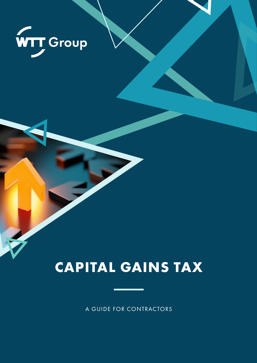

# **CAPITAL GAINS TAX**

A GUIDE FOR CONTRACTORS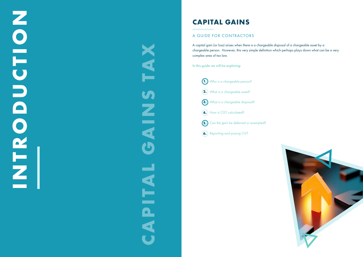# **CAPITAL GAINS**

#### A GUIDE FOR CONTRACTORS

A capital gain (or loss) arises when there is a chargeable disposal of a chargeable asset by a chargeable person. However, this very simple definition which perhaps plays down what can be a very complex area of tax law.

# **INTRODUCTION** NEROJCETTE

# **CAPITAL GAINS TAX**N A X S Z<br>E<br>E  $\mathbf C$ and in the contract of the contract of the contract of the contract of the contract of the contract of the contract of the contract of the contract of the contract of the contract of the contract of the contract of the con ENT  $\blacksquare$ S

In this guide we will be exploring:



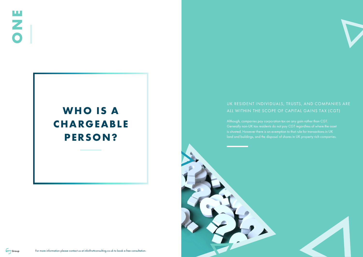# UK RESIDENT INDIVIDUALS, TRUSTS, AND COMPANIES ARE ALL WITHIN THE SCOPE OF CAPITAL GAINS TAX (CGT)



Although, companies pay corporation tax on any gain rather than CGT. Generally non-UK tax residents do not pay CGT regardless of where the asset is situated. However there is an exemption to that rule for transactions in UK land and buildings, and the disposal of shares in UK property rich companies.



# **WHO IS A CHARGEABLE PERSON?**

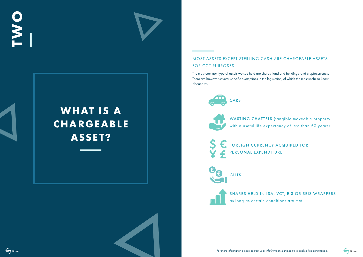#### MOST ASSETS EXCEPT STERLING CASH ARE CHARGEABLE ASSETS FOR CGT PURPOSES.

WASTING CHATTELS (tangible moveable property with a useful life expectancy of less than 50 years)





The most common type of assets we see held are shares, land and buildings, and cryptocurrency. There are however several specific exemptions in the legislation, of which the most useful to know about are:-

SHARES HELD IN ISA, VCT, EIS OR SEIS WRAPPERS



# **WHAT IS A CHARGEABLE ASSET?**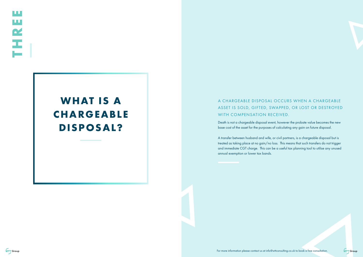### A CHARGEABLE DISPOSAL OCCURS WHEN A CHARGEABLE ASSET IS SOLD, GIFTED, SWAPPED, OR LOST OR DESTROYED WITH COMPENSATION RECEIVED.

Death is not a chargeable disposal event, however the probate value becomes the new base cost of the asset for the purposes of calculating any gain on future disposal.

A transfer between husband and wife, or civil partners, is a chargeable disposal but is treated as taking place at no gain/no loss. This means that such transfers do not trigger and immediate CGT charge. This can be a useful tax planning tool to utilise any unused annual exemption or lower tax bands.

# **WHAT IS A CHARGEABLE DISPOSAL?**



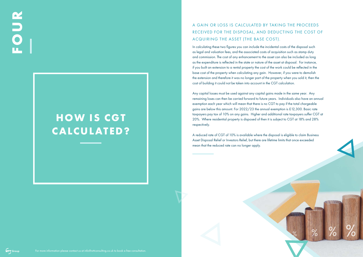# A GAIN OR LOSS IS CALCULATED BY TAKING THE PROCEEDS RECEIVED FOR THE DISPOSAL, AND DEDUCTING THE COST OF ACQUIRING THE ASSET (THE BASE COST).

In calculating these two figures you can include the incidental costs of the disposal such as legal and valuation fees, and the associated costs of acquisition such as stamp duty and commission. The cost of any enhancement to the asset can also be included as long as the expenditure is reflected in the state or nature of the asset at disposal. For instance, if you built an extension to a rental property the cost of the work could be reflected in the base cost of the property when calculating any gain. However, if you were to demolish the extension and therefore it was no longer part of the property when you sold it, then the cost of building it could not be taken into account in the CGT calculation.

Any capital losses must be used against any capital gains made in the same year. Any remaining loses can then be carried forward to future years. Individuals also have an annual exemption each year which will mean that there is no CGT to pay if the total chargeable gains are below this amount. For 2022/23 the annual exemption is £12,300. Basic rate taxpayers pay tax of 10% on any gains. Higher and additional rate taxpayers suffer CGT at 20%. Where residential property is disposed of then it is subject to CGT at 18% and 28% respectively.

A reduced rate of CGT of 10% is available where the disposal is eligible to claim Business Asset Disposal Relief or Investors Relief, but there are lifetime limits that once exceeded mean that the reduced rate can no longer apply.

# **FOUR**

# **HOW IS CGT CALCULATED?**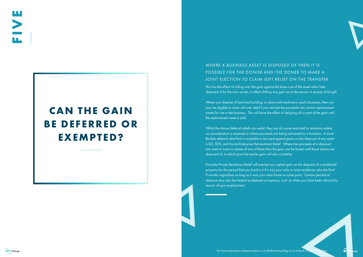## WHERE A BUSINESS ASSET IS DISPOSED OF THEN IT IS POSSIBLE FOR THE DONOR AND THE DONEE TO MAKE A JOINT ELECTION TO CLAIM GIFT RELIEF ON THE TRANSFER.

This has the effect of rolling over the gain against the base cost of the asset when later disposed of by the new owner, in effect shifting any gain on to the person in receipt of the gift.

Where you dispose of land and building, or plant and machinery used a business, then you may be eligible to claim roll over relief if you reinvest the proceeds into certain replacement assets for use in the business. This will have the effect of delaying all or part of the gain until the replacement asset is sold.

Whilst the above deferral reliefs are useful, they are of course restricted to situations where no consideration is received or where proceeds are being reinvested in a business. A more flexible deferral relief that is available to be used against gains on the disposal of any asset is EIS, SEIS, and Social Enterprise Reinvestment Relief. Where the proceeds of a disposal are used to invest in shares of any of these then the gain can be frozen until those shares are disposed of, at which point the earlier gain will also crystalise.

Principle Private Residence Relief will exempt any capital gain on the disposal of a residential property for the period that you lived in it if it was your only or main residence, plus the final 9 months regardless as long as it was your main home at some point. Certain periods of absence may also be treated as deemed occupancy, such as when you have been abroad by reason of your employment.





# **CAN THE GAIN BE DEFERRED OR EXEMPTED?**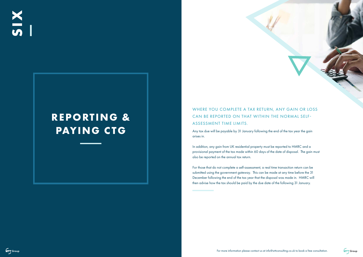# WHERE YOU COMPLETE A TAX RETURN, ANY GAIN OR LOSS CAN BE REPORTED ON THAT WITHIN THE NORMAL SELF-ASSESSMENT TIME LIMITS.

Any tax due will be payable by 31 January following the end of the tax year the gain arises in.

In addition, any gain from UK residential property must be reported to HMRC and a provisional payment of the tax made within 60 days of the date of disposal. The gain must also be reported on the annual tax return.

For those that do not complete a self-assessment, a real time transaction return can be submitted using the government gateway. This can be made at any time before the 31 December following the end of the tax year that the disposal was made in. HMRC will then advise how the tax should be paid by the due date of the following 31 January.

**SIX**

# **REPORTING & PAYING CTG**





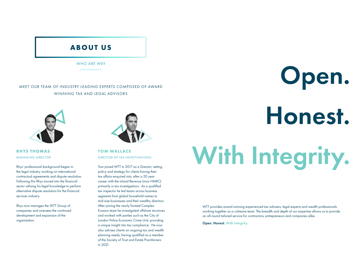WHO ARE WE?

# **ABOUT US**

#### MEET OUR TEAM OF INDUSTRY LEADING EXPERTS COMPOSED OF AWARD WINNING TAX AND LEGAL ADVISORS



Rhys' professional background began in the legal industry working on international contractual agreements and dispute resolution. Following this Rhys moved into the financial sector utilising his legal knowledge to perform alternative dispute resolution for the financial services industry.

Rhys now manages the WTT Group of companies and oversees the continued development and expansion of the organisation.



#### **RHYS THOMAS** MANAGING DIRECTOR

Tom joined WTT in 2017 as a Director, setting policy and strategy for clients having their tax affairs enquired into, after a 20 year career with the Inland Revenue (now HMRC) primarily in tax investigations. As a qualified tax inspector he led teams across business segments from global household names to mid-size businesses and their wealthy directors. After joining the newly formed Complex Evasion team he investigated offshore structures and worked with parties such as the City of London Police Economic Crime Unit, providing a unique insight into tax compliance. He now also advises clients on ongoing tax and wealth planning needs, having qualified as a member of the Society of Trust and Estate Practitioners in 2021.

**TOM WALLACE** DIRECTOR OF TAX INVESTIGATIONS

> WTT provides award-winning experienced tax advisers, legal experts and wealth professionals working together as a cohesive team. The breadth and depth of our expertise allows us to provide an all-round tailored service for contractors, entrepreneurs and companies alike.

Open. Honest. With Integrity.

# Honest. With Integrity. Open.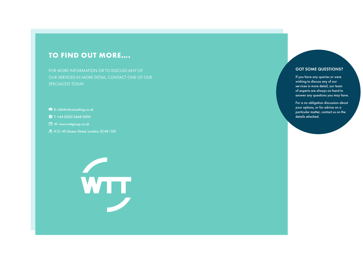# **TO FIND OUT MORE….**

FOR MORE INFORMATION OR TO DISCUSS ANY OF OUR SERVICES IN MORE DETAIL, CONTACT ONE OF OUR SPECIALISTS TODAY.

- E: info@wttconsulting.co.uk
- **a** T: +44 (0)20 3468 0000
- **Example V: www.wttgroup.co.uk**
- **A.** H.O: 40 Queen Street, London, EC4R 1DD



#### GOT SOME QUESTIONS?

If you have any queries or were wishing to discuss any of our services in more detail, our team of experts are always on hand to answer any questions you may have.

For a no obligation discussion about your options, or for advice on a particular matter, contact us on the details attached.